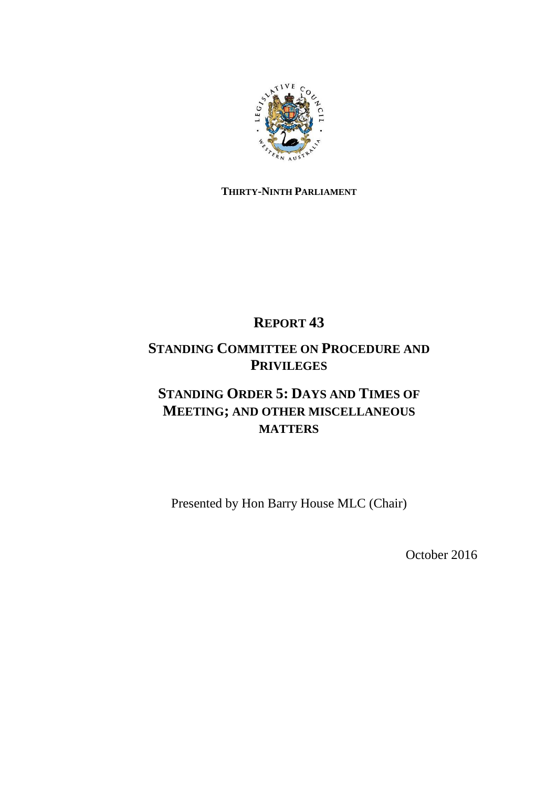

## **THIRTY-NINTH PARLIAMENT**

# **REPORT 43**

## **STANDING COMMITTEE ON PROCEDURE AND PRIVILEGES**

# **STANDING ORDER 5: DAYS AND TIMES OF MEETING; AND OTHER MISCELLANEOUS MATTERS**

Presented by Hon Barry House MLC (Chair)

October 2016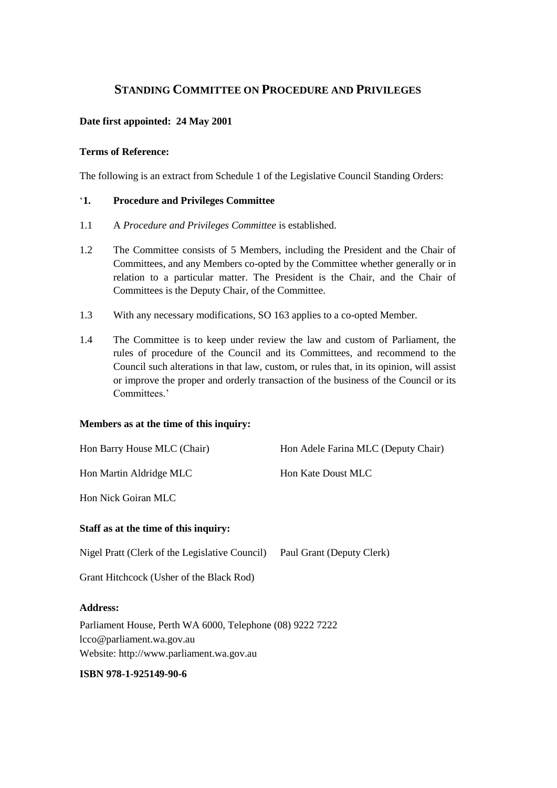## **STANDING COMMITTEE ON PROCEDURE AND PRIVILEGES**

## **Date first appointed: 24 May 2001**

### **Terms of Reference:**

The following is an extract from Schedule 1 of the Legislative Council Standing Orders:

## '**1. Procedure and Privileges Committee**

- 1.1 A *Procedure and Privileges Committee* is established.
- 1.2 The Committee consists of 5 Members, including the President and the Chair of Committees, and any Members co-opted by the Committee whether generally or in relation to a particular matter. The President is the Chair, and the Chair of Committees is the Deputy Chair, of the Committee.
- 1.3 With any necessary modifications, SO 163 applies to a co-opted Member.
- 1.4 The Committee is to keep under review the law and custom of Parliament, the rules of procedure of the Council and its Committees, and recommend to the Council such alterations in that law, custom, or rules that, in its opinion, will assist or improve the proper and orderly transaction of the business of the Council or its Committees.'

### **Members as at the time of this inquiry:**

| Hon Barry House MLC (Chair)                               | Hon Adele Farina MLC (Deputy Chair) |
|-----------------------------------------------------------|-------------------------------------|
| Hon Martin Aldridge MLC                                   | Hon Kate Doust MLC                  |
| Hon Nick Goiran MLC                                       |                                     |
| Staff as at the time of this inquiry:                     |                                     |
| Nigel Pratt (Clerk of the Legislative Council)            | Paul Grant (Deputy Clerk)           |
| Grant Hitchcock (Usher of the Black Rod)                  |                                     |
| <b>Address:</b>                                           |                                     |
| Parliament House, Perth WA 6000, Telephone (08) 9222 7222 |                                     |
| lcco@parliament.wa.gov.au                                 |                                     |
| Website: http://www.parliament.wa.gov.au                  |                                     |

## **ISBN 978-1-925149-90-6**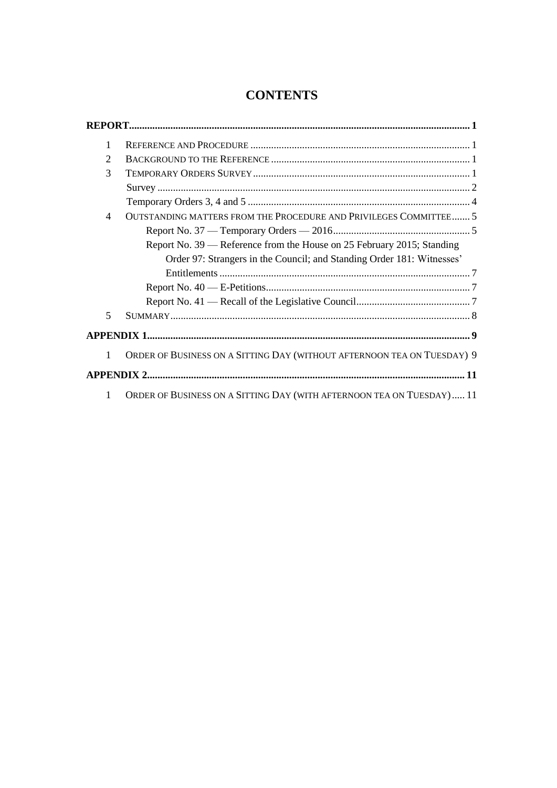## **CONTENTS**

| 1              |                                                                         |
|----------------|-------------------------------------------------------------------------|
| $\overline{2}$ |                                                                         |
| 3              |                                                                         |
|                |                                                                         |
|                |                                                                         |
| 4              | OUTSTANDING MATTERS FROM THE PROCEDURE AND PRIVILEGES COMMITTEE 5       |
|                |                                                                         |
|                | Report No. 39 — Reference from the House on 25 February 2015; Standing  |
|                | Order 97: Strangers in the Council; and Standing Order 181: Witnesses'  |
|                |                                                                         |
|                |                                                                         |
|                |                                                                         |
| 5              |                                                                         |
|                |                                                                         |
| 1              | ORDER OF BUSINESS ON A SITTING DAY (WITHOUT AFTERNOON TEA ON TUESDAY) 9 |
|                |                                                                         |
| 1              | ORDER OF BUSINESS ON A SITTING DAY (WITH AFTERNOON TEA ON TUESDAY) 11   |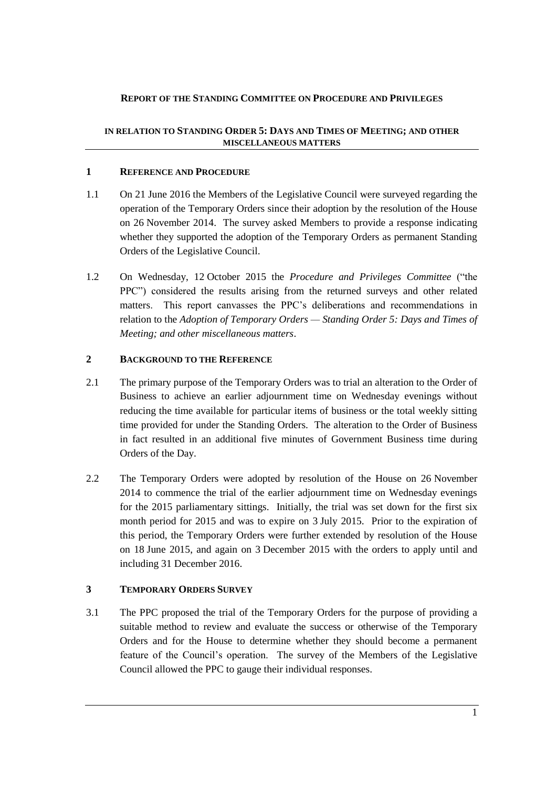## <span id="page-4-0"></span>**REPORT OF THE STANDING COMMITTEE ON PROCEDURE AND PRIVILEGES**

## **IN RELATION TO STANDING ORDER 5: DAYS AND TIMES OF MEETING; AND OTHER MISCELLANEOUS MATTERS**

## <span id="page-4-1"></span>**1 REFERENCE AND PROCEDURE**

- 1.1 On 21 June 2016 the Members of the Legislative Council were surveyed regarding the operation of the Temporary Orders since their adoption by the resolution of the House on 26 November 2014. The survey asked Members to provide a response indicating whether they supported the adoption of the Temporary Orders as permanent Standing Orders of the Legislative Council.
- 1.2 On Wednesday, 12 October 2015 the *Procedure and Privileges Committee* ("the PPC") considered the results arising from the returned surveys and other related matters. This report canvasses the PPC's deliberations and recommendations in relation to the *Adoption of Temporary Orders — Standing Order 5: Days and Times of Meeting; and other miscellaneous matters*.

## <span id="page-4-2"></span>**2 BACKGROUND TO THE REFERENCE**

- 2.1 The primary purpose of the Temporary Orders was to trial an alteration to the Order of Business to achieve an earlier adjournment time on Wednesday evenings without reducing the time available for particular items of business or the total weekly sitting time provided for under the Standing Orders. The alteration to the Order of Business in fact resulted in an additional five minutes of Government Business time during Orders of the Day.
- 2.2 The Temporary Orders were adopted by resolution of the House on 26 November 2014 to commence the trial of the earlier adjournment time on Wednesday evenings for the 2015 parliamentary sittings. Initially, the trial was set down for the first six month period for 2015 and was to expire on 3 July 2015. Prior to the expiration of this period, the Temporary Orders were further extended by resolution of the House on 18 June 2015, and again on 3 December 2015 with the orders to apply until and including 31 December 2016.

## <span id="page-4-3"></span>**3 TEMPORARY ORDERS SURVEY**

3.1 The PPC proposed the trial of the Temporary Orders for the purpose of providing a suitable method to review and evaluate the success or otherwise of the Temporary Orders and for the House to determine whether they should become a permanent feature of the Council's operation. The survey of the Members of the Legislative Council allowed the PPC to gauge their individual responses.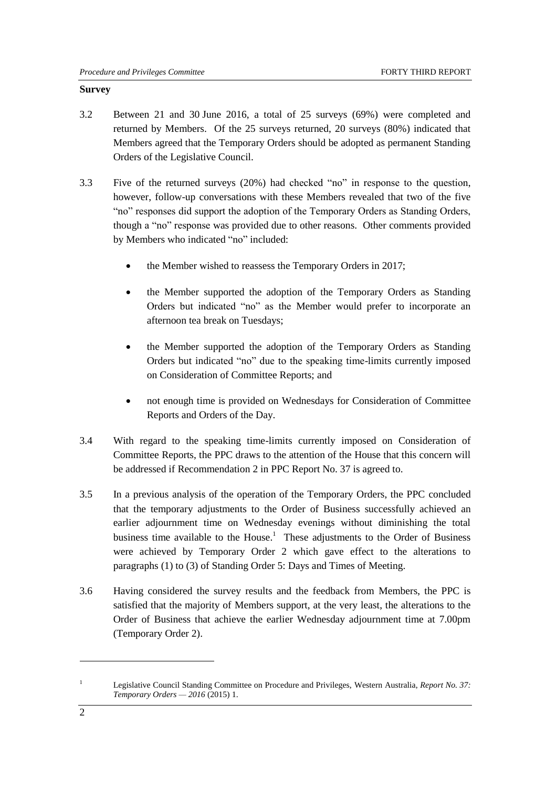#### <span id="page-5-0"></span>**Survey**

- 3.2 Between 21 and 30 June 2016, a total of 25 surveys (69%) were completed and returned by Members. Of the 25 surveys returned, 20 surveys (80%) indicated that Members agreed that the Temporary Orders should be adopted as permanent Standing Orders of the Legislative Council.
- 3.3 Five of the returned surveys (20%) had checked "no" in response to the question, however, follow-up conversations with these Members revealed that two of the five "no" responses did support the adoption of the Temporary Orders as Standing Orders, though a "no" response was provided due to other reasons. Other comments provided by Members who indicated "no" included:
	- the Member wished to reassess the Temporary Orders in 2017;
	- the Member supported the adoption of the Temporary Orders as Standing Orders but indicated "no" as the Member would prefer to incorporate an afternoon tea break on Tuesdays;
	- the Member supported the adoption of the Temporary Orders as Standing Orders but indicated "no" due to the speaking time-limits currently imposed on Consideration of Committee Reports; and
	- not enough time is provided on Wednesdays for Consideration of Committee Reports and Orders of the Day.
- 3.4 With regard to the speaking time-limits currently imposed on Consideration of Committee Reports, the PPC draws to the attention of the House that this concern will be addressed if Recommendation 2 in PPC Report No. 37 is agreed to.
- 3.5 In a previous analysis of the operation of the Temporary Orders, the PPC concluded that the temporary adjustments to the Order of Business successfully achieved an earlier adjournment time on Wednesday evenings without diminishing the total business time available to the House.<sup>1</sup> These adjustments to the Order of Business were achieved by Temporary Order 2 which gave effect to the alterations to paragraphs (1) to (3) of Standing Order 5: Days and Times of Meeting.
- 3.6 Having considered the survey results and the feedback from Members, the PPC is satisfied that the majority of Members support, at the very least, the alterations to the Order of Business that achieve the earlier Wednesday adjournment time at 7.00pm (Temporary Order 2).

1

<sup>1</sup> Legislative Council Standing Committee on Procedure and Privileges, Western Australia, *Report No. 37: Temporary Orders — 2016* (2015) 1.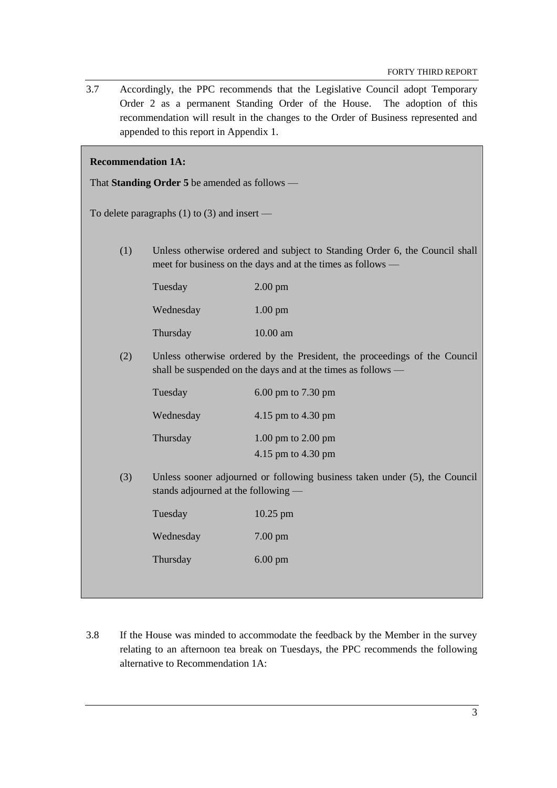- 3.7 Accordingly, the PPC recommends that the Legislative Council adopt Temporary Order 2 as a permanent Standing Order of the House. The adoption of this recommendation will result in the changes to the Order of Business represented and appended to this report in Appendix 1. **Recommendation 1A:** That **Standing Order 5** be amended as follows — To delete paragraphs (1) to (3) and insert — (1) Unless otherwise ordered and subject to Standing Order 6, the Council shall meet for business on the days and at the times as follows — Tuesday 2.00 pm Wednesday 1.00 pm Thursday 10.00 am (2) Unless otherwise ordered by the President, the proceedings of the Council shall be suspended on the days and at the times as follows — Tuesday 6.00 pm to 7.30 pm Wednesday 4.15 pm to 4.30 pm Thursday 1.00 pm to 2.00 pm 4.15 pm to 4.30 pm (3) Unless sooner adjourned or following business taken under (5), the Council stands adjourned at the following — Tuesday 10.25 pm Wednesday 7.00 pm Thursday 6.00 pm
- 3.8 If the House was minded to accommodate the feedback by the Member in the survey relating to an afternoon tea break on Tuesdays, the PPC recommends the following alternative to Recommendation 1A: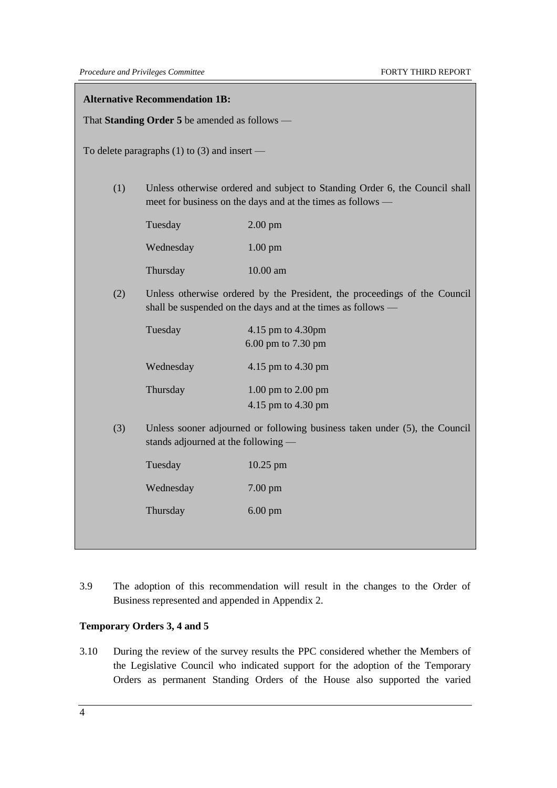#### **Alternative Recommendation 1B:**

That **Standing Order 5** be amended as follows —

To delete paragraphs (1) to (3) and insert —

(1) Unless otherwise ordered and subject to Standing Order 6, the Council shall meet for business on the days and at the times as follows —

| Tuesday   | $2.00 \text{ pm}$  |
|-----------|--------------------|
| Wednesday | $1.00 \text{ pm}$  |
| Thursday  | $10.00 \text{ am}$ |

(2) Unless otherwise ordered by the President, the proceedings of the Council shall be suspended on the days and at the times as follows —

| Tuesday   | 4.15 pm to 4.30pm<br>6.00 pm to 7.30 pm |
|-----------|-----------------------------------------|
| Wednesday | 4.15 pm to 4.30 pm                      |
| Thursday  | $1.00$ pm to $2.00$ pm                  |
|           | 4.15 pm to 4.30 pm                      |

(3) Unless sooner adjourned or following business taken under (5), the Council stands adjourned at the following —

| Tuesday   | $10.25$ pm        |  |
|-----------|-------------------|--|
| Wednesday | $7.00 \text{ pm}$ |  |
| Thursday  | $6.00 \text{ pm}$ |  |

3.9 The adoption of this recommendation will result in the changes to the Order of Business represented and appended in Appendix 2.

### <span id="page-7-0"></span>**Temporary Orders 3, 4 and 5**

3.10 During the review of the survey results the PPC considered whether the Members of the Legislative Council who indicated support for the adoption of the Temporary Orders as permanent Standing Orders of the House also supported the varied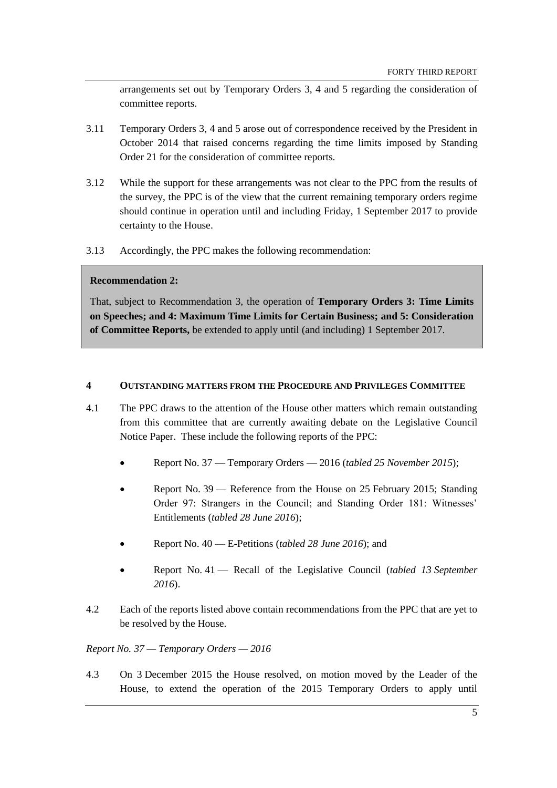arrangements set out by Temporary Orders 3, 4 and 5 regarding the consideration of committee reports.

- 3.11 Temporary Orders 3, 4 and 5 arose out of correspondence received by the President in October 2014 that raised concerns regarding the time limits imposed by Standing Order 21 for the consideration of committee reports.
- 3.12 While the support for these arrangements was not clear to the PPC from the results of the survey, the PPC is of the view that the current remaining temporary orders regime should continue in operation until and including Friday, 1 September 2017 to provide certainty to the House.
- 3.13 Accordingly, the PPC makes the following recommendation:

## **Recommendation 2:**

That, subject to Recommendation 3, the operation of **Temporary Orders 3: Time Limits on Speeches; and 4: Maximum Time Limits for Certain Business; and 5: Consideration of Committee Reports,** be extended to apply until (and including) 1 September 2017.

### <span id="page-8-0"></span>**4 OUTSTANDING MATTERS FROM THE PROCEDURE AND PRIVILEGES COMMITTEE**

- 4.1 The PPC draws to the attention of the House other matters which remain outstanding from this committee that are currently awaiting debate on the Legislative Council Notice Paper. These include the following reports of the PPC:
	- Report No. 37 Temporary Orders 2016 (*tabled 25 November 2015*);
	- Report No. 39 Reference from the House on 25 February 2015; Standing Order 97: Strangers in the Council; and Standing Order 181: Witnesses' Entitlements (*tabled 28 June 2016*);
	- Report No. 40 E-Petitions (*tabled 28 June 2016*); and
	- Report No. 41 Recall of the Legislative Council (*tabled 13 September 2016*).
- 4.2 Each of the reports listed above contain recommendations from the PPC that are yet to be resolved by the House.

## <span id="page-8-1"></span>*Report No. 37 — Temporary Orders — 2016*

4.3 On 3 December 2015 the House resolved, on motion moved by the Leader of the House, to extend the operation of the 2015 Temporary Orders to apply until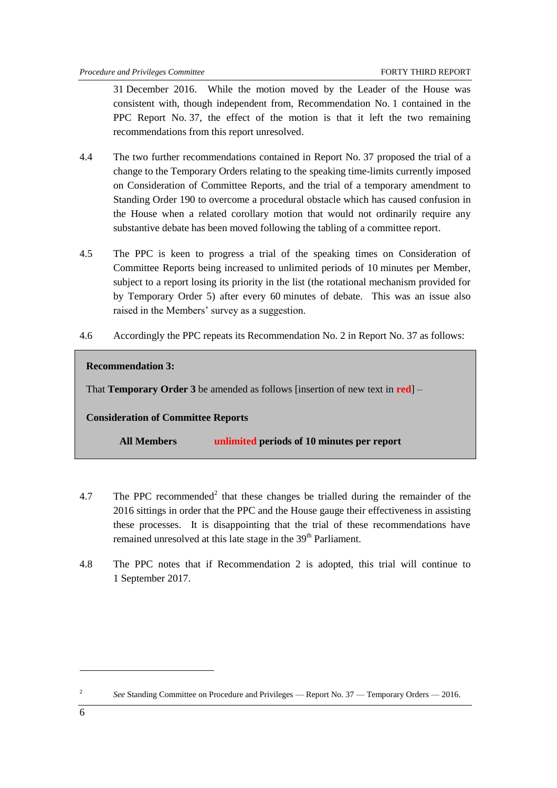31 December 2016. While the motion moved by the Leader of the House was consistent with, though independent from, Recommendation No. 1 contained in the PPC Report No. 37, the effect of the motion is that it left the two remaining recommendations from this report unresolved.

- 4.4 The two further recommendations contained in Report No. 37 proposed the trial of a change to the Temporary Orders relating to the speaking time-limits currently imposed on Consideration of Committee Reports, and the trial of a temporary amendment to Standing Order 190 to overcome a procedural obstacle which has caused confusion in the House when a related corollary motion that would not ordinarily require any substantive debate has been moved following the tabling of a committee report.
- 4.5 The PPC is keen to progress a trial of the speaking times on Consideration of Committee Reports being increased to unlimited periods of 10 minutes per Member, subject to a report losing its priority in the list (the rotational mechanism provided for by Temporary Order 5) after every 60 minutes of debate. This was an issue also raised in the Members' survey as a suggestion.
- 4.6 Accordingly the PPC repeats its Recommendation No. 2 in Report No. 37 as follows:

#### **Recommendation 3:**

That **Temporary Order 3** be amended as follows [insertion of new text in **red**] –

## **Consideration of Committee Reports**

**All Members unlimited periods of 10 minutes per report**

- 4.7 The PPC recommended<sup>2</sup> that these changes be trialled during the remainder of the 2016 sittings in order that the PPC and the House gauge their effectiveness in assisting these processes. It is disappointing that the trial of these recommendations have remained unresolved at this late stage in the 39<sup>th</sup> Parliament.
- 4.8 The PPC notes that if Recommendation 2 is adopted, this trial will continue to 1 September 2017.

**.** 

<sup>2</sup> *See* Standing Committee on Procedure and Privileges — Report No. 37 — Temporary Orders — 2016.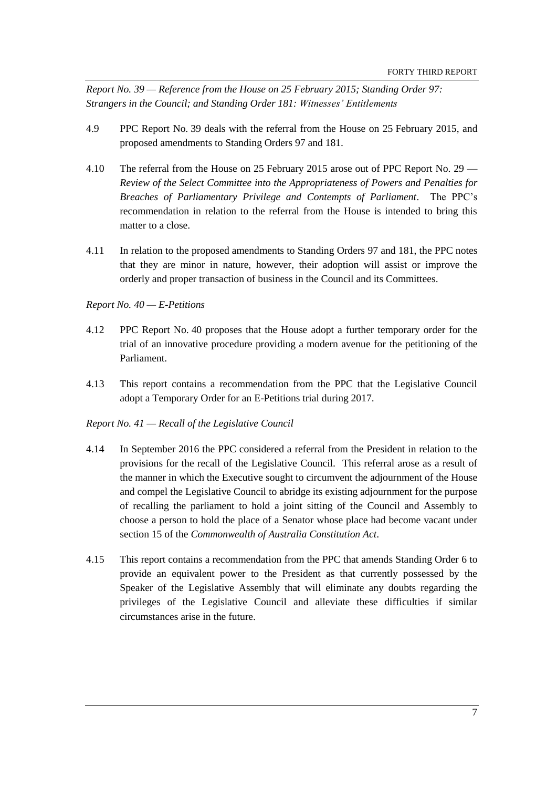<span id="page-10-0"></span>*Report No. 39 — Reference from the House on 25 February 2015; Standing Order 97: Strangers in the Council; and Standing Order 181: Witnesses' Entitlements*

- 4.9 PPC Report No. 39 deals with the referral from the House on 25 February 2015, and proposed amendments to Standing Orders 97 and 181.
- 4.10 The referral from the House on 25 February 2015 arose out of PPC Report No. 29 *Review of the Select Committee into the Appropriateness of Powers and Penalties for Breaches of Parliamentary Privilege and Contempts of Parliament*. The PPC's recommendation in relation to the referral from the House is intended to bring this matter to a close.
- 4.11 In relation to the proposed amendments to Standing Orders 97 and 181, the PPC notes that they are minor in nature, however, their adoption will assist or improve the orderly and proper transaction of business in the Council and its Committees.

#### <span id="page-10-1"></span>*Report No. 40 — E-Petitions*

- 4.12 PPC Report No. 40 proposes that the House adopt a further temporary order for the trial of an innovative procedure providing a modern avenue for the petitioning of the Parliament.
- 4.13 This report contains a recommendation from the PPC that the Legislative Council adopt a Temporary Order for an E-Petitions trial during 2017.

#### <span id="page-10-2"></span>*Report No. 41 — Recall of the Legislative Council*

- 4.14 In September 2016 the PPC considered a referral from the President in relation to the provisions for the recall of the Legislative Council. This referral arose as a result of the manner in which the Executive sought to circumvent the adjournment of the House and compel the Legislative Council to abridge its existing adjournment for the purpose of recalling the parliament to hold a joint sitting of the Council and Assembly to choose a person to hold the place of a Senator whose place had become vacant under section 15 of the *Commonwealth of Australia Constitution Act*.
- 4.15 This report contains a recommendation from the PPC that amends Standing Order 6 to provide an equivalent power to the President as that currently possessed by the Speaker of the Legislative Assembly that will eliminate any doubts regarding the privileges of the Legislative Council and alleviate these difficulties if similar circumstances arise in the future.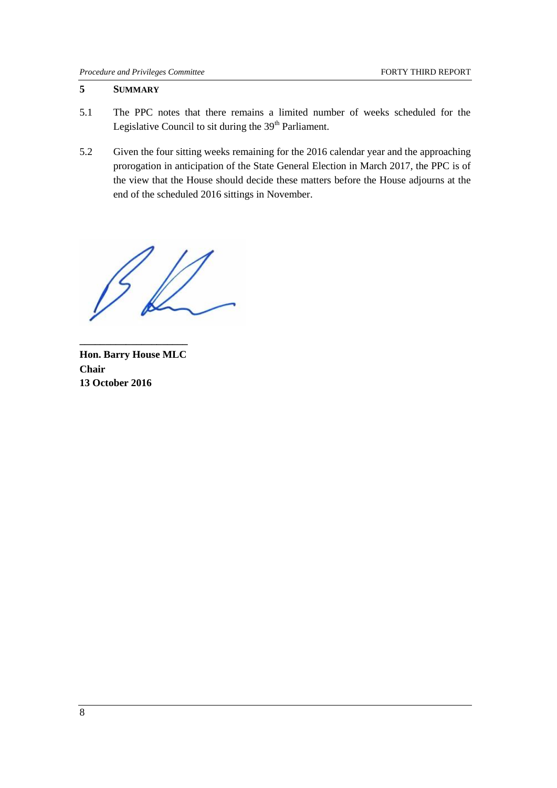### <span id="page-11-0"></span>**5 SUMMARY**

- 5.1 The PPC notes that there remains a limited number of weeks scheduled for the Legislative Council to sit during the 39<sup>th</sup> Parliament.
- 5.2 Given the four sitting weeks remaining for the 2016 calendar year and the approaching prorogation in anticipation of the State General Election in March 2017, the PPC is of the view that the House should decide these matters before the House adjourns at the end of the scheduled 2016 sittings in November.

**Hon. Barry House MLC Chair 13 October 2016**

**\_\_\_\_\_\_\_\_\_\_\_\_\_\_\_\_\_\_\_\_\_**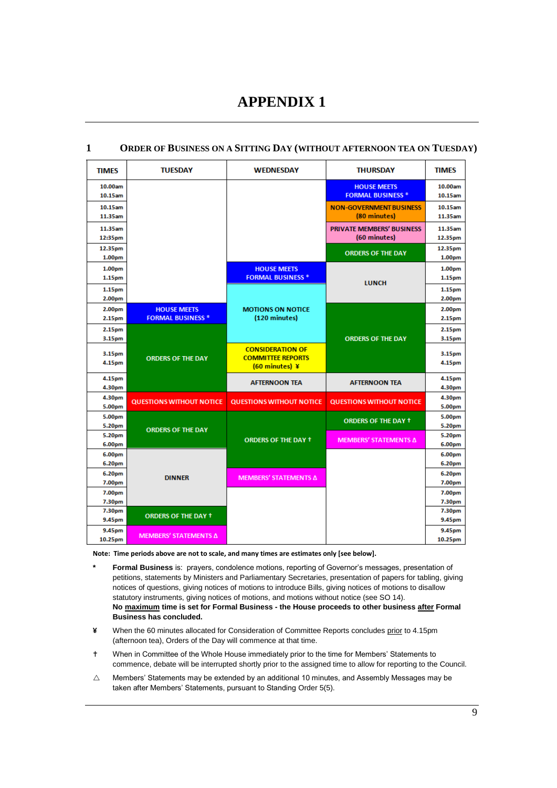## **APPENDIX 1**

| <b>TIMES</b>       | <b>TUESDAY</b>                  | <b>WEDNESDAY</b>                             | <b>THURSDAY</b>                  | <b>TIMES</b>     |
|--------------------|---------------------------------|----------------------------------------------|----------------------------------|------------------|
| 10.00am            |                                 |                                              | <b>HOUSE MEETS</b>               | 10.00am          |
| 10.15am            |                                 |                                              | <b>FORMAL BUSINESS *</b>         | 10.15am          |
| 10.15am            |                                 |                                              | <b>NON-GOVERNMENT BUSINESS</b>   | 10.15am          |
| 11.35am            |                                 |                                              | (80 minutes)                     | 11.35am          |
| 11.35am            |                                 |                                              | <b>PRIVATE MEMBERS' BUSINESS</b> | 11.35am          |
| 12:35pm            |                                 |                                              | (60 minutes)                     | 12.35pm          |
| 12.35pm            |                                 |                                              | <b>ORDERS OF THE DAY</b>         | 12.35pm          |
| 1.00 <sub>pm</sub> |                                 |                                              |                                  | 1.00pm           |
| 1.00 <sub>pm</sub> |                                 | <b>HOUSE MEETS</b>                           |                                  | 1.00pm           |
| 1.15pm             |                                 | <b>FORMAL BUSINESS *</b>                     | <b>LUNCH</b>                     | 1.15pm           |
| 1.15pm             |                                 |                                              |                                  | 1.15pm           |
| 2.00pm             |                                 |                                              |                                  | 2.00pm           |
| 2.00 <sub>pm</sub> | <b>HOUSE MEETS</b>              | <b>MOTIONS ON NOTICE</b>                     |                                  | 2.00pm           |
| 2.15pm             | <b>FORMAL BUSINESS *</b>        | (120 minutes)                                |                                  | 2.15pm           |
| 2.15pm             |                                 |                                              |                                  | 2.15pm           |
| 3.15pm             |                                 |                                              | <b>ORDERS OF THE DAY</b>         | 3.15pm           |
| 3.15pm             |                                 | <b>CONSIDERATION OF</b>                      |                                  | 3.15pm           |
| 4.15pm             | <b>ORDERS OF THE DAY</b>        | <b>COMMITTEE REPORTS</b><br>$(60$ minutes) ¥ |                                  | 4.15pm           |
|                    |                                 |                                              |                                  |                  |
| 4.15pm             |                                 | <b>AFTERNOON TEA</b>                         | <b>AFTERNOON TEA</b>             | 4.15pm           |
| 4.30pm             |                                 |                                              |                                  | 4.30pm           |
| 4.30pm<br>5.00pm   | <b>QUESTIONS WITHOUT NOTICE</b> | <b>QUESTIONS WITHOUT NOTICE</b>              | <b>QUESTIONS WITHOUT NOTICE</b>  | 4.30pm<br>5.00pm |
| 5.00pm             |                                 |                                              |                                  | 5.00pm           |
| 5.20pm             |                                 |                                              | <b>ORDERS OF THE DAY +</b>       | 5.20pm           |
| 5.20pm             | <b>ORDERS OF THE DAY</b>        |                                              |                                  | 5.20pm           |
| 6.00pm             |                                 | <b>ORDERS OF THE DAY +</b>                   | MEMBERS' STATEMENTS Δ            | 6.00pm           |
| 6.00pm             |                                 |                                              |                                  | 6.00pm           |
| 6.20pm             |                                 |                                              |                                  | 6.20pm           |
| 6.20pm             | <b>DINNER</b>                   | MEMBERS' STATEMENTS Δ                        |                                  | 6.20pm           |
| 7.00pm             |                                 |                                              |                                  | 7.00pm           |
| 7.00pm             |                                 |                                              |                                  | 7.00pm           |
| 7.30pm             |                                 |                                              |                                  | 7.30pm           |
| 7.30pm             | <b>ORDERS OF THE DAY +</b>      |                                              |                                  | 7.30pm           |
| 9.45pm             |                                 |                                              |                                  | 9.45pm           |
| 9.45pm             | MEMBERS' STATEMENTS Δ           |                                              |                                  | 9.45pm           |
| 10.25pm            |                                 |                                              |                                  | 10.25pm          |

#### <span id="page-12-1"></span><span id="page-12-0"></span>**1 ORDER OF BUSINESS ON A SITTING DAY (WITHOUT AFTERNOON TEA ON TUESDAY)**

**Note: Time periods above are not to scale, and many times are estimates only [see below].**

- **\* Formal Business** is: prayers, condolence motions, reporting of Governor's messages, presentation of petitions, statements by Ministers and Parliamentary Secretaries, presentation of papers for tabling, giving notices of questions, giving notices of motions to introduce Bills, giving notices of motions to disallow statutory instruments, giving notices of motions, and motions without notice (see SO 14). **No maximum time is set for Formal Business - the House proceeds to other business after Formal Business has concluded.**
- **¥** When the 60 minutes allocated for Consideration of Committee Reports concludes prior to 4.15pm (afternoon tea), Orders of the Day will commence at that time.
- When in Committee of the Whole House immediately prior to the time for Members' Statements to commence, debate will be interrupted shortly prior to the assigned time to allow for reporting to the Council.
- $\triangle$  Members' Statements may be extended by an additional 10 minutes, and Assembly Messages may be taken after Members' Statements, pursuant to Standing Order 5(5).